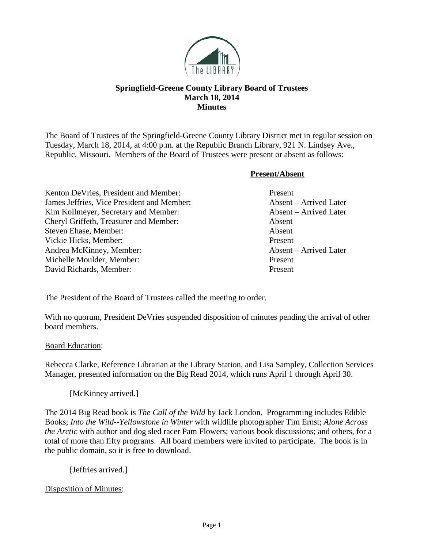

# **Springfield-Greene County Library Board of Trustees March 18, 2014 Minutes**

The Board of Trustees of the Springfield-Greene County Library District met in regular session on Tuesday, March 18, 2014, at 4:00 p.m. at the Republic Branch Library, 921 N. Lindsey Ave., Republic, Missouri. Members of the Board of Trustees were present or absent as follows:

**Present/Absent**

Kenton DeVries, President and Member: Present James Jeffries, Vice President and Member: Absent – Arrived Later Kim Kollmeyer, Secretary and Member: Absent – Arrived Later Cheryl Griffeth, Treasurer and Member: Absent Steven Ehase, Member: Absent Vickie Hicks, Member: Present Andrea McKinney, Member: Absent – Arrived Later Michelle Moulder, Member: Present David Richards, Member: Present

The President of the Board of Trustees called the meeting to order.

With no quorum, President DeVries suspended disposition of minutes pending the arrival of other board members.

## Board Education:

Rebecca Clarke, Reference Librarian at the Library Station, and Lisa Sampley, Collection Services Manager, presented information on the Big Read 2014, which runs April 1 through April 30.

[McKinney arrived.]

The 2014 Big Read book is *The Call of the Wild* by Jack London. Programming includes Edible Books; *Into the Wild--Yellowstone in Winter* with wildlife photographer Tim Ernst; *Alone Across the Arctic* with author and dog sled racer Pam Flowers; various book discussions; and others, for a total of more than fifty programs. All board members were invited to participate. The book is in the public domain, so it is free to download.

[Jeffries arrived.]

Disposition of Minutes: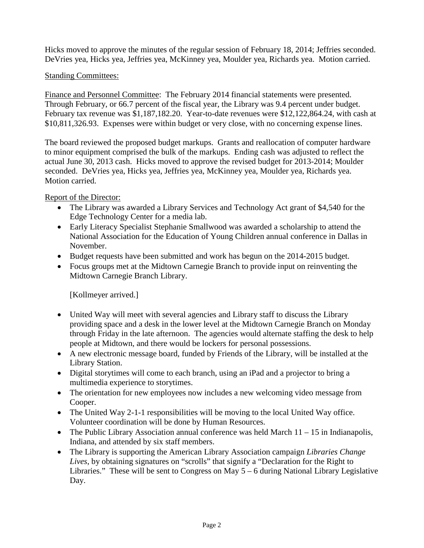Hicks moved to approve the minutes of the regular session of February 18, 2014; Jeffries seconded. DeVries yea, Hicks yea, Jeffries yea, McKinney yea, Moulder yea, Richards yea. Motion carried.

# Standing Committees:

Finance and Personnel Committee: The February 2014 financial statements were presented. Through February, or 66.7 percent of the fiscal year, the Library was 9.4 percent under budget. February tax revenue was \$1,187,182.20. Year-to-date revenues were \$12,122,864.24, with cash at \$10,811,326.93. Expenses were within budget or very close, with no concerning expense lines.

The board reviewed the proposed budget markups. Grants and reallocation of computer hardware to minor equipment comprised the bulk of the markups. Ending cash was adjusted to reflect the actual June 30, 2013 cash. Hicks moved to approve the revised budget for 2013-2014; Moulder seconded. DeVries yea, Hicks yea, Jeffries yea, McKinney yea, Moulder yea, Richards yea. Motion carried.

Report of the Director:

- The Library was awarded a Library Services and Technology Act grant of \$4,540 for the Edge Technology Center for a media lab.
- Early Literacy Specialist Stephanie Smallwood was awarded a scholarship to attend the National Association for the Education of Young Children annual conference in Dallas in November.
- Budget requests have been submitted and work has begun on the 2014-2015 budget.
- Focus groups met at the Midtown Carnegie Branch to provide input on reinventing the Midtown Carnegie Branch Library.

[Kollmeyer arrived.]

- United Way will meet with several agencies and Library staff to discuss the Library providing space and a desk in the lower level at the Midtown Carnegie Branch on Monday through Friday in the late afternoon. The agencies would alternate staffing the desk to help people at Midtown, and there would be lockers for personal possessions.
- A new electronic message board, funded by Friends of the Library, will be installed at the Library Station.
- Digital storytimes will come to each branch, using an iPad and a projector to bring a multimedia experience to storytimes.
- The orientation for new employees now includes a new welcoming video message from Cooper.
- The United Way 2-1-1 responsibilities will be moving to the local United Way office. Volunteer coordination will be done by Human Resources.
- The Public Library Association annual conference was held March  $11 15$  in Indianapolis, Indiana, and attended by six staff members.
- The Library is supporting the American Library Association campaign *Libraries Change Lives*, by obtaining signatures on "scrolls" that signify a "Declaration for the Right to Libraries." These will be sent to Congress on May 5 – 6 during National Library Legislative Day.